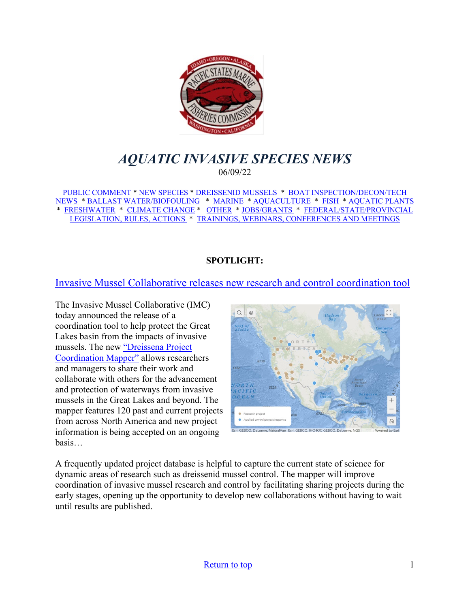<span id="page-0-0"></span>

# *AQUATIC INVASIVE SPECIES NEWS* 06/09/22

[PUBLIC COMMENT](#page-1-0) \* [NEW SPECIES](#page-2-0) \* [DREISSENID MUSSELS](#page-3-0) \* [BOAT INSPECTION/DECON/TECH](#page-4-0)  [NEWS](#page-4-0) [\\* BALLAST WATER/BIOFOULING](#page-5-0) \* [MARINE](#page-6-0) \* [AQUACULTURE](#page-7-0) \* [FISH](#page-8-0) \* [AQUATIC PLANTS](#page-8-1)  \* [FRESHWATER](#page-9-0) \* [CLIMATE CHANGE](#page-10-0) \* [OTHER](#page-10-1) \* [JOBS/GRANTS](#page-11-0) \* [FEDERAL/STATE/PROVINCIAL](#page-16-0)  [LEGISLATION, RULES, ACTIONS](#page-16-0) \* [TRAININGS, WEBINARS, CONFERENCES AND MEETINGS](#page-19-0) 

### **SPOTLIGHT:**

## [Invasive Mussel Collaborative releases new research and control coordination tool](https://www.glc.org/news/imc-052422)

The Invasive Mussel Collaborative (IMC) today announced the release of a coordination tool to help protect the Great Lakes basin from the impacts of invasive mussels. The new ["Dreissena Project](https://experience.arcgis.com/experience/108cb8f8245c4e988c0f374740ea6f6a/)  [Coordination Mapper"](https://experience.arcgis.com/experience/108cb8f8245c4e988c0f374740ea6f6a/) allows researchers and managers to share their work and collaborate with others for the advancement and protection of waterways from invasive mussels in the Great Lakes and beyond. The mapper features 120 past and current projects from across North America and new project information is being accepted on an ongoing basis…



A frequently updated project database is helpful to capture the current state of science for dynamic areas of research such as dreissenid mussel control. The mapper will improve coordination of invasive mussel research and control by facilitating sharing projects during the early stages, opening up the opportunity to develop new collaborations without having to wait until results are published.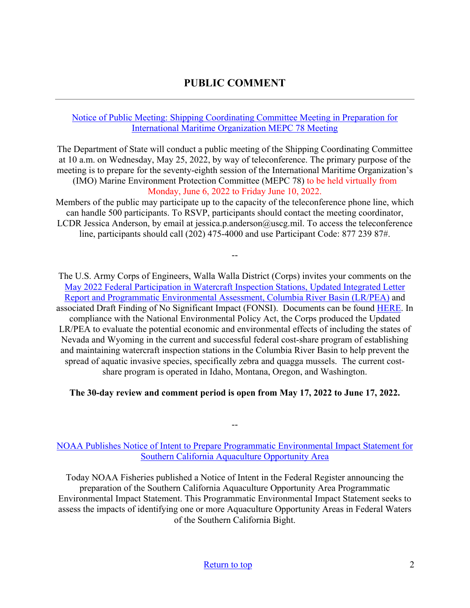## **PUBLIC COMMENT**

### <span id="page-1-0"></span>[Notice of Public Meeting: Shipping Coordinating Committee Meeting in Preparation for](https://mariners.coastguard.blog/2022/05/04/notice-of-public-meeting-shipping-coordinating-committee-meeting-in-preparation-for-international-maritime-organization-mepc-78-meeting/?utm_source=feedburner&utm_medium=email)  [International Maritime Organization MEPC 78 Meeting](https://mariners.coastguard.blog/2022/05/04/notice-of-public-meeting-shipping-coordinating-committee-meeting-in-preparation-for-international-maritime-organization-mepc-78-meeting/?utm_source=feedburner&utm_medium=email)

The Department of State will conduct a public meeting of the Shipping Coordinating Committee at 10 a.m. on Wednesday, May 25, 2022, by way of teleconference. The primary purpose of the meeting is to prepare for the seventy-eighth session of the International Maritime Organization's (IMO) Marine Environment Protection Committee (MEPC 78) to be held virtually from Monday, June 6, 2022 to Friday June 10, 2022.

Members of the public may participate up to the capacity of the teleconference phone line, which can handle 500 participants. To RSVP, participants should contact the meeting coordinator, LCDR Jessica Anderson, by email at jessica.p.anderson@uscg.mil. To access the teleconference line, participants should call (202) 475-4000 and use Participant Code: 877 239 87#.

--

The U.S. Army Corps of Engineers, Walla Walla District (Corps) invites your comments on the [May 2022 Federal Participation in Watercraft Inspection Stations, Updated Integrated Letter](https://www.nww.usace.army.mil/EnvironmentalComplianceComment/)  [Report and Programmatic Environmental Assessment, Columbia River Basin \(LR/PEA\)](https://www.nww.usace.army.mil/EnvironmentalComplianceComment/) and associated Draft Finding of No Significant Impact (FONSI). Documents can be found [HERE.](https://www.nww.usace.army.mil/Missions/Environmental-Compliance/) In compliance with the National Environmental Policy Act, the Corps produced the Updated LR/PEA to evaluate the potential economic and environmental effects of including the states of Nevada and Wyoming in the current and successful federal cost-share program of establishing and maintaining watercraft inspection stations in the Columbia River Basin to help prevent the spread of aquatic invasive species, specifically zebra and quagga mussels. The current costshare program is operated in Idaho, Montana, Oregon, and Washington.

### **The 30-day review and comment period is open from May 17, 2022 to June 17, 2022.**

### [NOAA Publishes Notice of Intent to Prepare Programmatic Environmental Impact Statement for](https://www.fisheries.noaa.gov/event/southern-california-aquaculture-opportunity-area-scoping-meeting?utm_medium=email&utm_source=govdelivery)  [Southern California Aquaculture Opportunity Area](https://www.fisheries.noaa.gov/event/southern-california-aquaculture-opportunity-area-scoping-meeting?utm_medium=email&utm_source=govdelivery)

--

Today NOAA Fisheries published a Notice of Intent in the Federal Register announcing the preparation of the Southern California Aquaculture Opportunity Area Programmatic Environmental Impact Statement. This Programmatic Environmental Impact Statement seeks to assess the impacts of identifying one or more Aquaculture Opportunity Areas in Federal Waters of the Southern California Bight.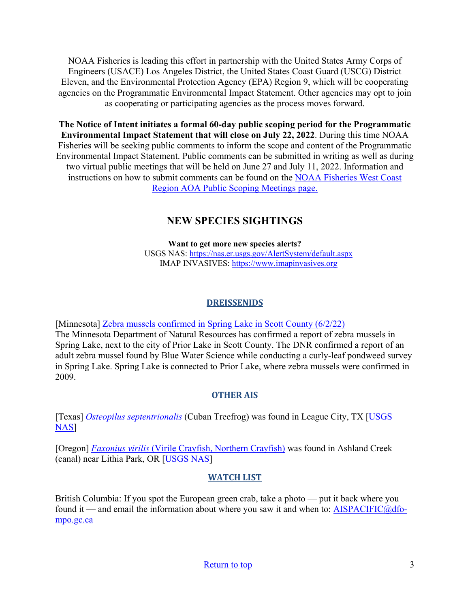NOAA Fisheries is leading this effort in partnership with the United States Army Corps of Engineers (USACE) Los Angeles District, the United States Coast Guard (USCG) District Eleven, and the Environmental Protection Agency (EPA) Region 9, which will be cooperating agencies on the Programmatic Environmental Impact Statement. Other agencies may opt to join as cooperating or participating agencies as the process moves forward.

**The Notice of Intent initiates a formal 60-day public scoping period for the Programmatic Environmental Impact Statement that will close on July 22, 2022**. During this time NOAA Fisheries will be seeking public comments to inform the scope and content of the Programmatic Environmental Impact Statement. Public comments can be submitted in writing as well as during two virtual public meetings that will be held on June 27 and July 11, 2022. Information and instructions on how to submit comments can be found on the [NOAA Fisheries West Coast](https://www.fisheries.noaa.gov/event/southern-california-aquaculture-opportunity-area-scoping-meeting?utm_medium=email&utm_source=govdelivery)  [Region AOA Public Scoping Meetings page.](https://www.fisheries.noaa.gov/event/southern-california-aquaculture-opportunity-area-scoping-meeting?utm_medium=email&utm_source=govdelivery)

# **NEW SPECIES SIGHTINGS**

<span id="page-2-0"></span>**Want to get more new species alerts?** USGS NAS:<https://nas.er.usgs.gov/AlertSystem/default.aspx> IMAP INVASIVES: [https://www.imapinvasives.org](https://www.imapinvasives.org/)

## **DREISSENIDS**

[Minnesota] [Zebra mussels confirmed in Spring Lake in Scott County \(6/2/22\)](https://www.dnr.state.mn.us/news/2022/06/02/zebra-mussels-confirmed-spring-lake-scott-county) The Minnesota Department of Natural Resources has confirmed a report of zebra mussels in Spring Lake, next to the city of Prior Lake in Scott County. The DNR confirmed a report of an adult zebra mussel found by Blue Water Science while conducting a curly-leaf pondweed survey in Spring Lake. Spring Lake is connected to Prior Lake, where zebra mussels were confirmed in 2009.

# **OTHER AIS**

[Texas] *[Osteopilus septentrionalis](https://nas.er.usgs.gov/queries/SpResults.aspx?SpeciesID=57)* (Cuban Treefrog) was found in League City, TX [\[USGS](https://nas.er.usgs.gov/queries/specimenviewer.aspx?SpecimenID=1695513)  [NAS\]](https://nas.er.usgs.gov/queries/specimenviewer.aspx?SpecimenID=1695513)

[Oregon] *Faxonius virilis* [\(Virile Crayfish, Northern Crayfish\)](https://nas.er.usgs.gov/queries/SpResults.aspx?SpeciesID=215) was found in Ashland Creek (canal) near Lithia Park, OR [\[USGS NAS\]](https://nas.er.usgs.gov/queries/specimenviewer.aspx?SpecimenID=1695570)

## **WATCH LIST**

British Columbia: If you spot the European green crab, take a photo — put it back where you found it — and email the information about where you saw it and when to:  $AISPACIFIC@dfo$ [mpo.gc.ca](mailto:AISPACIFIC@dfo-mpo.gc.ca)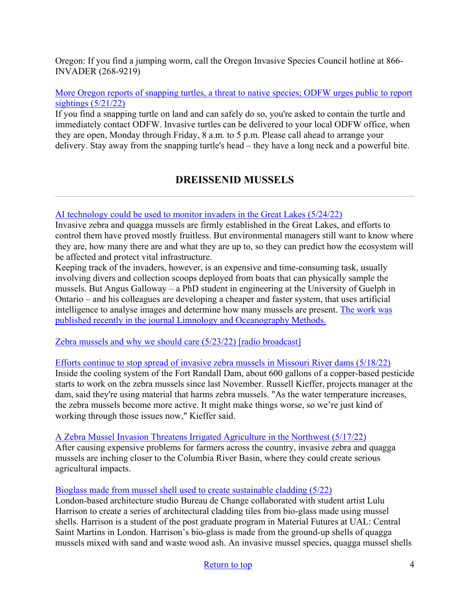Oregon: If you find a jumping worm, call the Oregon Invasive Species Council hotline at 866- INVADER (268-9219)

[More Oregon reports of snapping turtles, a threat to native species; ODFW urges public to report](https://ktvz.com/news/wildlife/2022/05/21/more-oregon-reports-of-snapping-turtles-a-threat-to-native-species-odfw-urges-public-to-report-sightings/)  [sightings \(5/21/22\)](https://ktvz.com/news/wildlife/2022/05/21/more-oregon-reports-of-snapping-turtles-a-threat-to-native-species-odfw-urges-public-to-report-sightings/)

If you find a snapping turtle on land and can safely do so, you're asked to contain the turtle and immediately contact ODFW. Invasive turtles can be delivered to your local ODFW office, when they are open, Monday through Friday, 8 a.m. to 5 p.m. Please call ahead to arrange your delivery. Stay away from the snapping turtle's head – they have a long neck and a powerful bite.

# **DREISSENID MUSSELS**

<span id="page-3-0"></span>[AI technology could be used to monitor invaders in the Great Lakes \(5/24/22\)](https://www.greatlakesnow.org/2022/05/ai-technology-invaders-great-lakes/)

Invasive zebra and quagga mussels are firmly established in the Great Lakes, and efforts to control them have proved mostly fruitless. But environmental managers still want to know where they are, how many there are and what they are up to, so they can predict how the ecosystem will be affected and protect vital infrastructure.

Keeping track of the invaders, however, is an expensive and time-consuming task, usually involving divers and collection scoops deployed from boats that can physically sample the mussels. But Angus Galloway – a PhD student in engineering at the University of Guelph in Ontario – and his colleagues are developing a cheaper and faster system, that uses artificial intelligence to analyse images and determine how many mussels are present. [The work was](https://aslopubs.onlinelibrary.wiley.com/doi/10.1002/lom3.10483)  [published recently in the journal Limnology and Oceanography Methods.](https://aslopubs.onlinelibrary.wiley.com/doi/10.1002/lom3.10483)

[Zebra mussels and why we should care \(5/23/22\) \[radio broadcast\]](https://listen.sdpb.org/environment/2022-05-23/zebra-mussels-and-why-we-should-care)

[Efforts continue to stop spread of invasive zebra mussels in Missouri River dams \(5/18/22\)](https://listen.sdpb.org/2022-05-18/efforts-continue-to-stop-spread-of-invasive-zebra-mussels-in-missouri-river-dams)

Inside the cooling system of the Fort Randall Dam, about 600 gallons of a copper-based pesticide starts to work on the zebra mussels since last November. Russell Kieffer, projects manager at the dam, said they're using material that harms zebra mussels. "As the water temperature increases, the zebra mussels become more active. It might make things worse, so we're just kind of working through those issues now," Kieffer said.

### [A Zebra Mussel Invasion Threatens Irrigated Agriculture in the Northwest \(5/17/22\)](https://civileats.com/2022/05/17/zebra-mussels/)

After causing expensive problems for farmers across the country, invasive zebra and quagga mussels are inching closer to the Columbia River Basin, where they could create serious agricultural impacts.

### [Bioglass made from mussel shell used to create sustainable cladding \(5/22\)](https://www.architectureanddesign.com.au/news/bio-glass-cladding-made-from-mussel-shell)

London-based architecture studio Bureau de Change collaborated with student artist Lulu Harrison to create a series of architectural cladding tiles from bio-glass made using mussel shells. Harrison is a student of the post graduate program in Material Futures at UAL: Central Saint Martins in London. Harrison's bio-glass is made from the ground-up shells of quagga mussels mixed with sand and waste wood ash. An invasive mussel species, quagga mussel shells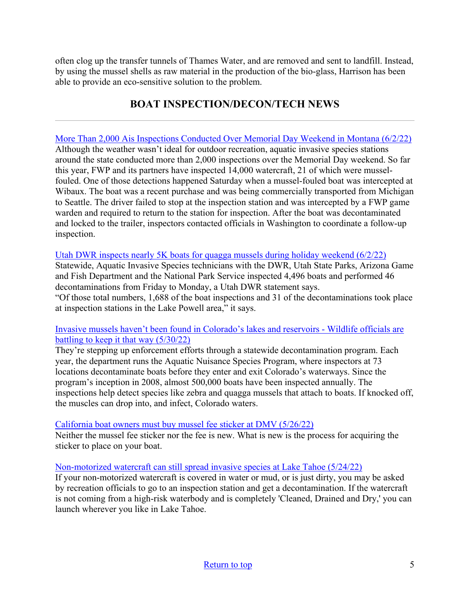often clog up the transfer tunnels of Thames Water, and are removed and sent to landfill. Instead, by using the mussel shells as raw material in the production of the bio-glass, Harrison has been able to provide an eco-sensitive solution to the problem.

# **BOAT INSPECTION/DECON/TECH NEWS**

<span id="page-4-0"></span>[More Than 2,000 Ais Inspections Conducted Over Memorial Day Weekend in Montana \(6/2/22\)](https://fwp.mt.gov/homepage/news/2022/june/0602---more-than-2000-ais-inspections-conducted-over-memorial-day-weekend) Although the weather wasn't ideal for outdoor recreation, aquatic invasive species stations around the state conducted more than 2,000 inspections over the Memorial Day weekend. So far this year, FWP and its partners have inspected 14,000 watercraft, 21 of which were musselfouled. One of those detections happened Saturday when a mussel-fouled boat was intercepted at Wibaux. The boat was a recent purchase and was being commercially transported from Michigan to Seattle. The driver failed to stop at the inspection station and was intercepted by a FWP game warden and required to return to the station for inspection. After the boat was decontaminated and locked to the trailer, inspectors contacted officials in Washington to coordinate a follow-up inspection.

### Utah DWR inspects nearly 5K boats for quagga mussels during holiday weekend  $(6/2/22)$

Statewide, Aquatic Invasive Species technicians with the DWR, Utah State Parks, Arizona Game and Fish Department and the National Park Service inspected 4,496 boats and performed 46 decontaminations from Friday to Monday, a Utah DWR statement says.

"Of those total numbers, 1,688 of the boat inspections and 31 of the decontaminations took place at inspection stations in the Lake Powell area," it says.

### [Invasive mussels haven't been found in Colorado's lakes and reservoirs - Wildlife officials are](https://coloradosun.com/2022/05/30/aquatic-nuisance-species/)  [battling to keep it that way \(5/30/22\)](https://coloradosun.com/2022/05/30/aquatic-nuisance-species/)

They're stepping up enforcement efforts through a statewide decontamination program. Each year, the department runs the Aquatic Nuisance Species Program, where inspectors at 73 locations decontaminate boats before they enter and exit Colorado's waterways. Since the program's inception in 2008, almost 500,000 boats have been inspected annually. The inspections help detect species like zebra and quagga mussels that attach to boats. If knocked off, the muscles can drop into, and infect, Colorado waters.

### [California boat owners must buy mussel fee sticker at DMV \(5/26/22\)](https://www.redding.com/story/sports/2022/05/26/california-boat-owners-must-buy-mussel-fee-sticker-dmv/9864530002/)

Neither the mussel fee sticker nor the fee is new. What is new is the process for acquiring the sticker to place on your boat.

### [Non-motorized watercraft can still spread invasive species at Lake Tahoe \(5/24/22\)](https://www.southtahoenow.com/story/05/24/2022/non-motorized-watercraft-can-still-spread-invasive-species-lake-tahoe)

If your non-motorized watercraft is covered in water or mud, or is just dirty, you may be asked by recreation officials to go to an inspection station and get a decontamination. If the watercraft is not coming from a high-risk waterbody and is completely 'Cleaned, Drained and Dry,' you can launch wherever you like in Lake Tahoe.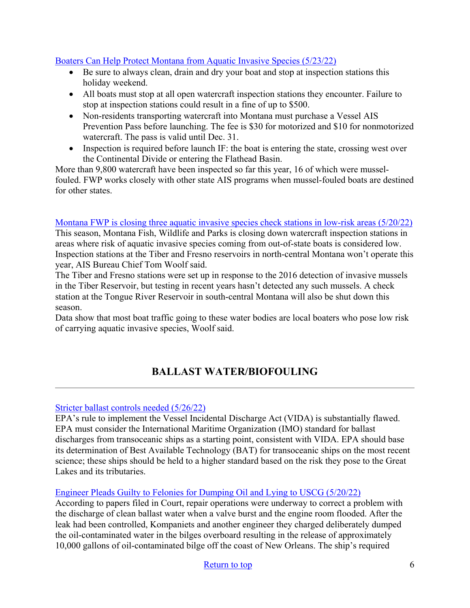### [Boaters Can Help Protect Montana from Aquatic Invasive Species \(5/23/22\)](https://fwp.mt.gov/homepage/news/2022/may/0523---boaters-can-help-protect-montana-from-aquatic-invasive-species)

- Be sure to always clean, drain and dry your boat and stop at inspection stations this holiday weekend.
- All boats must stop at all open watercraft inspection stations they encounter. Failure to stop at inspection stations could result in a fine of up to \$500.
- Non-residents transporting watercraft into Montana must purchase a Vessel AIS Prevention Pass before launching. The fee is \$30 for motorized and \$10 for nonmotorized watercraft. The pass is valid until Dec. 31.
- Inspection is required before launch IF: the boat is entering the state, crossing west over the Continental Divide or entering the Flathead Basin.

More than 9,800 watercraft have been inspected so far this year, 16 of which were musselfouled. FWP works closely with other state AIS programs when mussel-fouled boats are destined for other states.

### [Montana FWP is closing three aquatic invasive species check stations in low-risk areas \(5/20/22\)](https://www.mtpr.org/montana-news/2022-05-20/fwp-is-closing-three-aquatic-invasive-species-check-stations-in-low-risk-areas)

This season, Montana Fish, Wildlife and Parks is closing down watercraft inspection stations in areas where risk of aquatic invasive species coming from out-of-state boats is considered low. Inspection stations at the Tiber and Fresno reservoirs in north-central Montana won't operate this year, AIS Bureau Chief Tom Woolf said.

The Tiber and Fresno stations were set up in response to the 2016 detection of invasive mussels in the Tiber Reservoir, but testing in recent years hasn't detected any such mussels. A check station at the Tongue River Reservoir in south-central Montana will also be shut down this season.

Data show that most boat traffic going to these water bodies are local boaters who pose low risk of carrying aquatic invasive species, Woolf said.

# **BALLAST WATER/BIOFOULING**

### <span id="page-5-0"></span>[Stricter ballast controls needed \(5/26/22\)](https://www.nny360.com/stricter-ballast-controls-needed/article_3a0d7699-4da3-5647-b639-9acd2dabef3f.html)

EPA's rule to implement the Vessel Incidental Discharge Act (VIDA) is substantially flawed. EPA must consider the International Maritime Organization (IMO) standard for ballast discharges from transoceanic ships as a starting point, consistent with VIDA. EPA should base its determination of Best Available Technology (BAT) for transoceanic ships on the most recent science; these ships should be held to a higher standard based on the risk they pose to the Great Lakes and its tributaries.

## [Engineer Pleads Guilty to Felonies for Dumping Oil and Lying to USCG \(5/20/22\)](https://www.maritime-executive.com/article/engineer-pleads-guilty-to-felonies-for-dumping-oil-and-lying-to-uscg)

According to papers filed in Court, repair operations were underway to correct a problem with the discharge of clean ballast water when a valve burst and the engine room flooded. After the leak had been controlled, Kompaniets and another engineer they charged deliberately dumped the oil-contaminated water in the bilges overboard resulting in the release of approximately 10,000 gallons of oil-contaminated bilge off the coast of New Orleans. The ship's required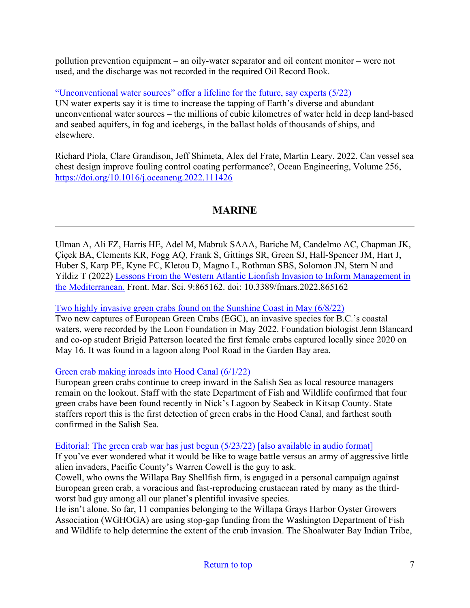pollution prevention equipment – an oily-water separator and oil content monitor – were not used, and the discharge was not recorded in the required Oil Record Book.

["Unconventional water sources" offer a lifeline for the future, say experts \(5/22\)](https://envirotecmagazine.com/2022/05/27/unconventional-water-sources-offer-a-lifeline-for-the-future-say-experts/)

UN water experts say it is time to increase the tapping of Earth's diverse and abundant unconventional water sources – the millions of cubic kilometres of water held in deep land-based and seabed aquifers, in fog and icebergs, in the ballast holds of thousands of ships, and elsewhere.

Richard Piola, Clare Grandison, Jeff Shimeta, Alex del Frate, Martin Leary. 2022. Can vessel sea chest design improve fouling control coating performance?, Ocean Engineering, Volume 256, <https://doi.org/10.1016/j.oceaneng.2022.111426>

# **MARINE**

<span id="page-6-0"></span>Ulman A, Ali FZ, Harris HE, Adel M, Mabruk SAAA, Bariche M, Candelmo AC, Chapman JK, Çiçek BA, Clements KR, Fogg AQ, Frank S, Gittings SR, Green SJ, Hall-Spencer JM, Hart J, Huber S, Karp PE, Kyne FC, Kletou D, Magno L, Rothman SBS, Solomon JN, Stern N and Yildiz T (2022) [Lessons From the Western Atlantic Lionfish Invasion to Inform Management in](https://www.frontiersin.org/articles/10.3389/fmars.2022.865162/full)  [the Mediterranean.](https://www.frontiersin.org/articles/10.3389/fmars.2022.865162/full) Front. Mar. Sci. 9:865162. doi: 10.3389/fmars.2022.865162

### [Two highly invasive green crabs found on the Sunshine Coast in May \(6/8/22\)](https://www.coastreporter.net/local-news/two-highly-invasive-green-crabs-found-on-the-sunshine-coast-in-may-5455150)

Two new captures of European Green Crabs (EGC), an invasive species for B.C.'s coastal waters, were recorded by the Loon Foundation in May 2022. Foundation biologist Jenn Blancard and co-op student Brigid Patterson located the first female crabs captured locally since 2020 on May 16. It was found in a lagoon along Pool Road in the Garden Bay area.

### [Green crab making inroads into Hood Canal \(6/1/22\)](https://www.peninsuladailynews.com/news/green-crab-making-inroads-into-hood-canal/)

European green crabs continue to creep inward in the Salish Sea as local resource managers remain on the lookout. Staff with the state Department of Fish and Wildlife confirmed that four green crabs have been found recently in Nick's Lagoon by Seabeck in Kitsap County. State staffers report this is the first detection of green crabs in the Hood Canal, and farthest south confirmed in the Salish Sea.

### [Editorial: The green crab war has just begun \(5/23/22\) \[also available in audio format\]](https://www.chinookobserver.com/opinion/editorials/editorial-the-green-crab-war-has-just-begun/article_0b017ddc-dac1-11ec-b4e6-df5ac6863cfd.html)

If you've ever wondered what it would be like to wage battle versus an army of aggressive little alien invaders, Pacific County's Warren Cowell is the guy to ask.

Cowell, who owns the Willapa Bay Shellfish firm, is engaged in a personal campaign against European green crab, a voracious and fast-reproducing crustacean rated by many as the thirdworst bad guy among all our planet's plentiful invasive species.

He isn't alone. So far, 11 companies belonging to the Willapa Grays Harbor Oyster Growers Association (WGHOGA) are using stop-gap funding from the Washington Department of Fish and Wildlife to help determine the extent of the crab invasion. The Shoalwater Bay Indian Tribe,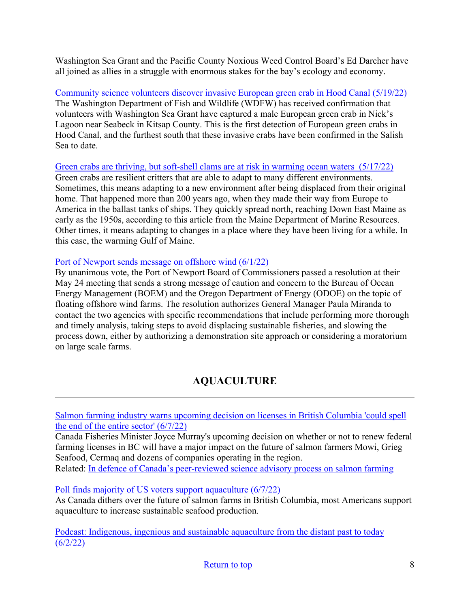Washington Sea Grant and the Pacific County Noxious Weed Control Board's Ed Darcher have all joined as allies in a struggle with enormous stakes for the bay's ecology and economy.

[Community science volunteers discover invasive European green crab in Hood Canal \(5/19/22\)](https://wdfw.wa.gov/news/community-science-volunteers-discover-invasive-european-green-crab-hood-canal) The Washington Department of Fish and Wildlife (WDFW) has received confirmation that volunteers with Washington Sea Grant have captured a male European green crab in Nick's Lagoon near Seabeck in Kitsap County. This is the first detection of European green crabs in Hood Canal, and the furthest south that these invasive crabs have been confirmed in the Salish Sea to date.

[Green crabs are thriving, but soft-shell clams are at risk in warming ocean waters \(5/17/22\)](https://www.newscentermaine.com/article/news/special-reports/maines-changing-climate/green-crabs-are-thriving-but-soft-shell-clams-are-at-risk-in-warming-ocean-waters-off-coast-of-maine/97-17ba411c-a317-4689-baab-9af81e22c761)

Green crabs are resilient critters that are able to adapt to many different environments. Sometimes, this means adapting to a new environment after being displaced from their original home. That happened more than 200 years ago, when they made their way from Europe to America in the ballast tanks of ships. They quickly spread north, reaching Down East Maine as early as the 1950s, according to this article from the Maine Department of Marine Resources. Other times, it means adapting to changes in a place where they have been living for a while. In this case, the warming Gulf of Maine.

### <span id="page-7-0"></span>[Port of Newport sends message on offshore wind \(6/1/22\)](https://www.newportnewstimes.com/news/port-of-newport-sends-message-on-offshore-wind/article_3d24ca60-e13a-11ec-a191-b77f9e2038d0.html)

By unanimous vote, the Port of Newport Board of Commissioners passed a resolution at their May 24 meeting that sends a strong message of caution and concern to the Bureau of Ocean Energy Management (BOEM) and the Oregon Department of Energy (ODOE) on the topic of floating offshore wind farms. The resolution authorizes General Manager Paula Miranda to contact the two agencies with specific recommendations that include performing more thorough and timely analysis, taking steps to avoid displacing sustainable fisheries, and slowing the process down, either by authorizing a demonstration site approach or considering a moratorium on large scale farms.

# **AQUACULTURE**

[Salmon farming industry warns upcoming decision on licenses in British Columbia 'could spell](https://www.intrafish.com/salmon/salmon-farming-industry-warns-upcoming-decision-on-licenses-in-british-columbia-could-spell-the-end-of-the-entire-sector/2-1-1230474)  [the end of the entire sector' \(6/7/22\)](https://www.intrafish.com/salmon/salmon-farming-industry-warns-upcoming-decision-on-licenses-in-british-columbia-could-spell-the-end-of-the-entire-sector/2-1-1230474)

Canada Fisheries Minister Joyce Murray's upcoming decision on whether or not to renew federal farming licenses in BC will have a major impact on the future of salmon farmers Mowi, Grieg Seafood, Cermaq and dozens of companies operating in the region.

Related: [In defence of Canada's peer-reviewed science advisory process on salmon farming](https://www.theglobeandmail.com/opinion/article-in-defense-of-canadas-peer-reviewed-science-advisory-process-on-salmon/)

[Poll finds majority of US voters support aquaculture \(6/7/22\)](https://seawestnews.com/poll-finds-majority-of-us-voters-support-aquaculture/)

As Canada dithers over the future of salmon farms in British Columbia, most Americans support aquaculture to increase sustainable seafood production.

[Podcast: Indigenous, ingenious and sustainable aquaculture from the distant past to today](https://news.mongabay.com/2022/06/podcast-indigenous-ingenious-and-sustainable-aquaculture-from-the-distant-past-to-today/)   $(6/2/22)$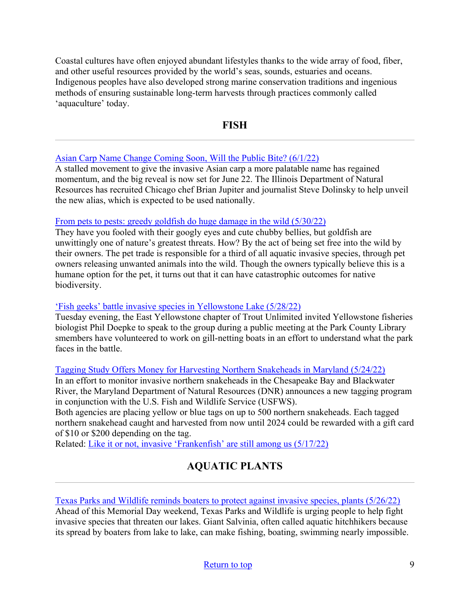Coastal cultures have often enjoyed abundant lifestyles thanks to the wide array of food, fiber, and other useful resources provided by the world's seas, sounds, estuaries and oceans. Indigenous peoples have also developed strong marine conservation traditions and ingenious methods of ensuring sustainable long-term harvests through practices commonly called 'aquaculture' today.

### **FISH**

### <span id="page-8-0"></span>[Asian Carp Name Change Coming Soon, Will the Public Bite? \(6/1/22\)](https://news.wttw.com/2022/06/01/asian-carp-name-change-coming-soon-will-public-bite)

A stalled movement to give the invasive Asian carp a more palatable name has regained momentum, and the big reveal is now set for June 22. The Illinois Department of Natural Resources has recruited Chicago chef Brian Jupiter and journalist Steve Dolinsky to help unveil the new alias, which is expected to be used nationally.

### [From pets to pests: greedy goldfish do huge damage in the wild \(5/30/22\)](https://cosmosmagazine.com/science/biology/pet-goldfish-pest/)

They have you fooled with their googly eyes and cute chubby bellies, but goldfish are unwittingly one of nature's greatest threats. How? By the act of being set free into the wild by their owners. The pet trade is responsible for a third of all aquatic invasive species, through pet owners releasing unwanted animals into the wild. Though the owners typically believe this is a humane option for the pet, it turns out that it can have catastrophic outcomes for native biodiversity.

### ['Fish geeks' battle invasive species in Yellowstone Lake \(5/28/22\)](https://pinedaleroundup.com/article/fish-geeks-battle-invasive-species)

Tuesday evening, the East Yellowstone chapter of Trout Unlimited invited Yellowstone fisheries biologist Phil Doepke to speak to the group during a public meeting at the Park County Library smembers have volunteered to work on gill-netting boats in an effort to understand what the park faces in the battle.

### [Tagging Study Offers Money for Harvesting Northern Snakeheads in Maryland \(5/24/22\)](https://news.maryland.gov/dnr/2022/05/24/tagging-study-offers-money-for-harvesting-northern-snakeheads/?utm_source=feedburner&utm_medium=email)

In an effort to monitor invasive northern snakeheads in the Chesapeake Bay and Blackwater River, the Maryland Department of Natural Resources (DNR) announces a new tagging program in conjunction with the U.S. Fish and Wildlife Service (USFWS).

Both agencies are placing yellow or blue tags on up to 500 northern snakeheads. Each tagged northern snakehead caught and harvested from now until 2024 could be rewarded with a gift card of \$10 or \$200 depending on the tag.

<span id="page-8-1"></span>Related: [Like it or not, invasive 'Frankenfish' are still among us \(5/17/22\)](https://www.washingtonpost.com/magazine/2022/05/17/snakehead-invasive-species-fishing/)

# **AQUATIC PLANTS**

### [Texas Parks and Wildlife reminds boaters to protect against invasive species, plants \(5/26/22\)](https://www.kltv.com/2022/05/26/texas-parks-wildlife-reminds-boaters-protect-against-invasive-species-plants/)

Ahead of this Memorial Day weekend, Texas Parks and Wildlife is urging people to help fight invasive species that threaten our lakes. Giant Salvinia, often called aquatic hitchhikers because its spread by boaters from lake to lake, can make fishing, boating, swimming nearly impossible.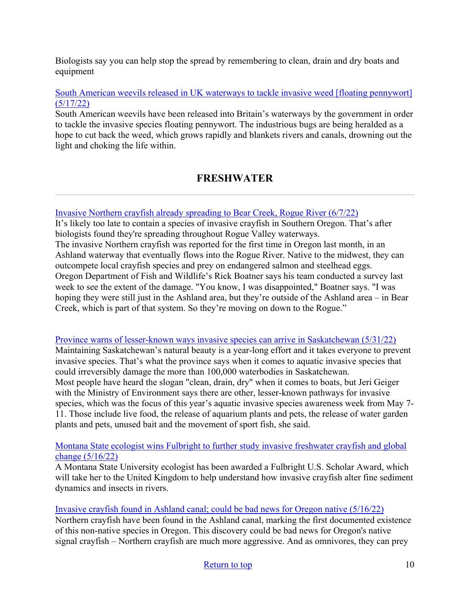Biologists say you can help stop the spread by remembering to clean, drain and dry boats and equipment

### [South American weevils released in UK waterways to tackle invasive weed \[floating pennywort\]](https://www.theguardian.com/environment/2022/may/17/south-american-weevils-released-uk-waterways-tackle-invasive-weed-floating-pennywort)  [\(5/17/22\)](https://www.theguardian.com/environment/2022/may/17/south-american-weevils-released-uk-waterways-tackle-invasive-weed-floating-pennywort)

South American weevils have been released into Britain's waterways by the government in order to tackle the invasive species floating pennywort. The industrious bugs are being heralded as a hope to cut back the weed, which grows rapidly and blankets rivers and canals, drowning out the light and choking the life within.

# **FRESHWATER**

### <span id="page-9-0"></span>[Invasive Northern crayfish already spreading to Bear Creek, Rogue River \(6/7/22\)](https://www.ijpr.org/environment-energy-and-transportation/2022-06-07/invasive-northern-crayfish-already-spreading-to-bear-creek-rogue-river)

It's likely too late to contain a species of invasive crayfish in Southern Oregon. That's after biologists found they're spreading throughout Rogue Valley waterways. The invasive Northern crayfish was reported for the first time in Oregon last month, in an Ashland waterway that eventually flows into the Rogue River. Native to the midwest, they can outcompete local crayfish species and prey on endangered salmon and steelhead eggs. Oregon Department of Fish and Wildlife's Rick Boatner says his team conducted a survey last week to see the extent of the damage. "You know, I was disappointed," Boatner says. "I was hoping they were still just in the Ashland area, but they're outside of the Ashland area – in Bear Creek, which is part of that system. So they're moving on down to the Rogue."

### [Province warns of lesser-known ways invasive species can arrive in Saskatchewan \(5/31/22\)](https://saskatoon.ctvnews.ca/province-warns-of-lesser-known-ways-invasive-species-can-arrive-in-sask-1.5926883)

Maintaining Saskatchewan's natural beauty is a year-long effort and it takes everyone to prevent invasive species. That's what the province says when it comes to aquatic invasive species that could irreversibly damage the more than 100,000 waterbodies in Saskatchewan. Most people have heard the slogan "clean, drain, dry" when it comes to boats, but Jeri Geiger with the Ministry of Environment says there are other, lesser-known pathways for invasive species, which was the focus of this year's aquatic invasive species awareness week from May 7- 11. Those include live food, the release of aquarium plants and pets, the release of water garden plants and pets, unused bait and the movement of sport fish, she said.

### [Montana State ecologist wins Fulbright to further study invasive freshwater crayfish and global](https://www.montana.edu/news/22113/montana-state-ecologist-wins-fulbright-to-further-study-invasive-freshwater-crayfish-and-global-change)  [change \(5/16/22\)](https://www.montana.edu/news/22113/montana-state-ecologist-wins-fulbright-to-further-study-invasive-freshwater-crayfish-and-global-change)

A Montana State University ecologist has been awarded a Fulbright U.S. Scholar Award, which will take her to the United Kingdom to help understand how invasive crayfish alter fine sediment dynamics and insects in rivers.

### [Invasive crayfish found in Ashland canal; could be bad news for Oregon native \(5/16/22\)](https://ktvz.com/news/oregon-northwest/2022/05/16/invasive-crayfish-found-in-ashland-canal-could-be-bad-news-for-oregon-native/)

Northern crayfish have been found in the Ashland canal, marking the first documented existence of this non-native species in Oregon. This discovery could be bad news for Oregon's native signal crayfish – Northern crayfish are much more aggressive. And as omnivores, they can prey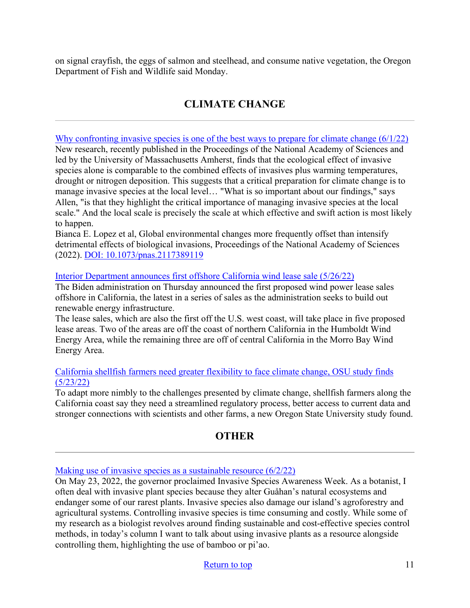on signal crayfish, the eggs of salmon and steelhead, and consume native vegetation, the Oregon Department of Fish and Wildlife said Monday.

# **CLIMATE CHANGE**

<span id="page-10-0"></span>Why confronting invasive species is one of the best ways to prepare for climate change  $(6/1/22)$ New research, recently published in the Proceedings of the National Academy of Sciences and led by the University of Massachusetts Amherst, finds that the ecological effect of invasive species alone is comparable to the combined effects of invasives plus warming temperatures, drought or nitrogen deposition. This suggests that a critical preparation for climate change is to manage invasive species at the local level… "What is so important about our findings," says Allen, "is that they highlight the critical importance of managing invasive species at the local scale." And the local scale is precisely the scale at which effective and swift action is most likely to happen.

Bianca E. Lopez et al, Global environmental changes more frequently offset than intensify detrimental effects of biological invasions, Proceedings of the National Academy of Sciences (2022). [DOI: 10.1073/pnas.2117389119](https://www.pnas.org/doi/abs/10.1073/pnas.2117389119)

### [Interior Department announces first offshore California wind lease sale \(5/26/22\)](https://thehill.com/policy/energy-environment/3503110-interior-department-announces-first-offshore-california-wind-lease-sale/)

The Biden administration on Thursday announced the first proposed wind power lease sales offshore in California, the latest in a series of sales as the administration seeks to build out renewable energy infrastructure.

The lease sales, which are also the first off the U.S. west coast, will take place in five proposed lease areas. Two of the areas are off the coast of northern California in the Humboldt Wind Energy Area, while the remaining three are off of central California in the Morro Bay Wind Energy Area.

### [California shellfish farmers need greater flexibility to face climate change, OSU study finds](https://today.oregonstate.edu/news/california-shellfish-farmers-need-greater-flexibility-face-climate-change-osu-study-finds)  [\(5/23/22\)](https://today.oregonstate.edu/news/california-shellfish-farmers-need-greater-flexibility-face-climate-change-osu-study-finds)

To adapt more nimbly to the challenges presented by climate change, shellfish farmers along the California coast say they need a streamlined regulatory process, better access to current data and stronger connections with scientists and other farms, a new Oregon State University study found.

## **OTHER**

### <span id="page-10-1"></span>[Making use of invasive species as a sustainable resource \(6/2/22\)](https://www.guampdn.com/lifestyle/making-use-of-invasive-species-as-a-sustainable-resource/article_391c81a8-e237-11ec-a112-23ee27806d1e.html)

On May 23, 2022, the governor proclaimed Invasive Species Awareness Week. As a botanist, I often deal with invasive plant species because they alter Guåhan's natural ecosystems and endanger some of our rarest plants. Invasive species also damage our island's agroforestry and agricultural systems. Controlling invasive species is time consuming and costly. While some of my research as a biologist revolves around finding sustainable and cost-effective species control methods, in today's column I want to talk about using invasive plants as a resource alongside controlling them, highlighting the use of bamboo or pi'ao.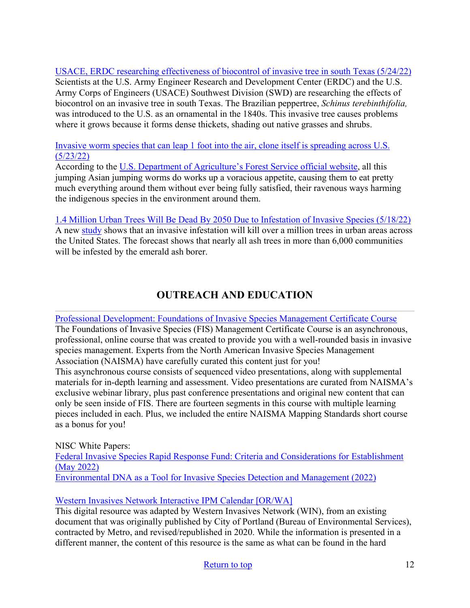[USACE, ERDC researching effectiveness of biocontrol of invasive tree in south Texas \(5/24/22\)](https://www.erdc.usace.army.mil/Media/News-Stories/Article/3042017/erdc-district-researching-effectiveness-of-biocontrol-of-invasive-tree-in-south/utm_source/feedburner/utm_medium/erdc-district-researching-effectiveness-of-biocontrol-of-invasive-tree-in-south/) Scientists at the U.S. Army Engineer Research and Development Center (ERDC) and the U.S. Army Corps of Engineers (USACE) Southwest Division (SWD) are researching the effects of biocontrol on an invasive tree in south Texas. The Brazilian peppertree, *Schinus terebinthifolia,* was introduced to the U.S. as an ornamental in the 1840s. This invasive tree causes problems where it grows because it forms dense thickets, shading out native grasses and shrubs.

[Invasive worm species that can leap 1 foot into the air, clone itself is spreading across U.S.](https://www.oregonlive.com/nation/2022/05/invasive-worm-species-that-can-leap-1-foot-into-the-air-clone-itself-is-spreading-across-us.html?fbclid=IwAR2WxbRs2ojbqMBD6a20-jvpTlD1UCRX-rLcyz19LBLruAlG1O-fDwg9vbI)  [\(5/23/22\)](https://www.oregonlive.com/nation/2022/05/invasive-worm-species-that-can-leap-1-foot-into-the-air-clone-itself-is-spreading-across-us.html?fbclid=IwAR2WxbRs2ojbqMBD6a20-jvpTlD1UCRX-rLcyz19LBLruAlG1O-fDwg9vbI)

According to the [U.S. Department of Agriculture's Forest Service official website,](https://www.fs.usda.gov/features/invasive-jumping-worms-can-change-their-world) all this jumping Asian jumping worms do works up a voracious appetite, causing them to eat pretty much everything around them without ever being fully satisfied, their ravenous ways harming the indigenous species in the environment around them.

[1.4 Million Urban Trees Will Be Dead By 2050 Due to Infestation of Invasive Species \(5/18/22\)](https://www.natureworldnews.com/articles/50876/20220518/1-4-million-urban-trees-will-dead-2050-due-infestation.htm) A new [study](https://besjournals.onlinelibrary.wiley.com/doi/10.1111/1365-2664.14141) shows that an invasive infestation will kill over a million trees in urban areas across the United States. The forecast shows that nearly all ash trees in more than 6,000 communities will be infested by the emerald ash borer.

# <span id="page-11-0"></span>**OUTREACH AND EDUCATION**

[Professional Development: Foundations of Invasive Species Management Certificate Course](https://naisma.org/programs/professional-development/foundations-of-invasive-species-management/) The Foundations of Invasive Species (FIS) Management Certificate Course is an asynchronous, professional, online course that was created to provide you with a well-rounded basis in invasive species management. Experts from the North American Invasive Species Management Association (NAISMA) have carefully curated this content just for you!

This asynchronous course consists of sequenced video presentations, along with supplemental materials for in-depth learning and assessment. Video presentations are curated from NAISMA's exclusive webinar library, plus past conference presentations and original new content that can only be seen inside of FIS. There are fourteen segments in this course with multiple learning pieces included in each. Plus, we included the entire NAISMA Mapping Standards short course as a bonus for you!

NISC White Papers: [Federal Invasive Species Rapid Response Fund: Criteria and Considerations for Establishment](https://www.doi.gov/sites/doi.gov/files/nisc-rapid-response-fund-2022.0331-final.pdf)  [\(May 2022\)](https://www.doi.gov/sites/doi.gov/files/nisc-rapid-response-fund-2022.0331-final.pdf)  [Environmental DNA as a Tool for Invasive Species Detection and Management \(2022\)](https://doi.gov/sites/doi.gov/files/nisc-edna-white-paper-2022-final.pdf)

## [Western Invasives Network Interactive IPM Calendar \[OR/WA\]](https://4countycwma.org/win-interactive-ipm-calendar/)

This digital resource was adapted by Western Invasives Network (WIN), from an existing document that was originally published by City of Portland (Bureau of Environmental Services), contracted by Metro, and revised/republished in 2020. While the information is presented in a different manner, the content of this resource is the same as what can be found in the hard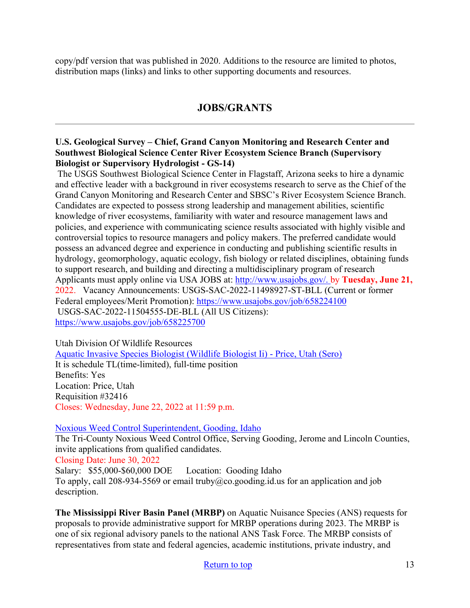copy/pdf version that was published in 2020. Additions to the resource are limited to photos, distribution maps (links) and links to other supporting documents and resources.

## **JOBS/GRANTS**

### **U.S. Geological Survey – Chief, Grand Canyon Monitoring and Research Center and Southwest Biological Science Center River Ecosystem Science Branch (Supervisory Biologist or Supervisory Hydrologist - GS-14)**

 The USGS Southwest Biological Science Center in Flagstaff, Arizona seeks to hire a dynamic and effective leader with a background in river ecosystems research to serve as the Chief of the Grand Canyon Monitoring and Research Center and SBSC's River Ecosystem Science Branch. Candidates are expected to possess strong leadership and management abilities, scientific knowledge of river ecosystems, familiarity with water and resource management laws and policies, and experience with communicating science results associated with highly visible and controversial topics to resource managers and policy makers. The preferred candidate would possess an advanced degree and experience in conducting and publishing scientific results in hydrology, geomorphology, aquatic ecology, fish biology or related disciplines, obtaining funds to support research, and building and directing a multidisciplinary program of research Applicants must apply online via USA JOBS at: [http://www.usajobs.gov/.](http://www.usajobs.gov/) by **Tuesday, June 21,** 2022. Vacancy Announcements: USGS-SAC-2022-11498927-ST-BLL (Current or former Federal employees/Merit Promotion):<https://www.usajobs.gov/job/658224100> USGS-SAC-2022-11504555-DE-BLL (All US Citizens): <https://www.usajobs.gov/job/658225700>

Utah Division Of Wildlife Resources [Aquatic Invasive Species Biologist \(Wildlife Biologist Ii\) - Price, Utah \(Sero\)](https://www.governmentjobs.com/careers/utah/jobs/3586506/aquatic-invasive-species-biologist-sero) It is schedule TL(time-limited), full-time position Benefits: Yes Location: Price, Utah Requisition #32416 Closes: Wednesday, June 22, 2022 at 11:59 p.m.

### [Noxious Weed Control Superintendent, Gooding, Idaho](https://www.goodingcounty.org/CivicAlerts.aspx?AID=181)

The Tri-County Noxious Weed Control Office, Serving Gooding, Jerome and Lincoln Counties, invite applications from qualified candidates. Closing Date: June 30, 2022 Salary: \$55,000-\$60,000 DOE Location: Gooding Idaho To apply, call 208-934-5569 or email truby@co.gooding.id.us for an application and job description.

**The Mississippi River Basin Panel (MRBP)** on Aquatic Nuisance Species (ANS) requests for proposals to provide administrative support for MRBP operations during 2023. The MRBP is one of six regional advisory panels to the national ANS Task Force. The MRBP consists of representatives from state and federal agencies, academic institutions, private industry, and

### [Return to top](#page-0-0) 13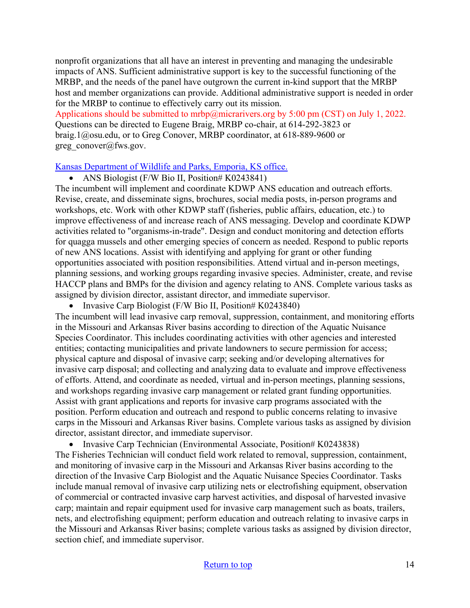nonprofit organizations that all have an interest in preventing and managing the undesirable impacts of ANS. Sufficient administrative support is key to the successful functioning of the MRBP, and the needs of the panel have outgrown the current in-kind support that the MRBP host and member organizations can provide. Additional administrative support is needed in order for the MRBP to continue to effectively carry out its mission.

Applications should be submitted to mrbp@micrarivers.org by 5:00 pm (CST) on July 1, 2022. Questions can be directed to Eugene Braig, MRBP co-chair, at 614-292-3823 or braig.1@osu.edu, or to Greg Conover, MRBP coordinator, at 618-889-9600 or greg\_conover@fws.gov.

[Kansas Department of Wildlife and Parks, Emporia, KS office.](https://ksoutdoors.com/KDWP-Info/Jobs/Current-KDWP-Employment-Opportunities/Permanent-Positions)

• ANS Biologist  $(F/W \text{ Bio II}, \text{Position}\# \text{ K}0243841)$ 

The incumbent will implement and coordinate KDWP ANS education and outreach efforts. Revise, create, and disseminate signs, brochures, social media posts, in-person programs and workshops, etc. Work with other KDWP staff (fisheries, public affairs, education, etc.) to improve effectiveness of and increase reach of ANS messaging. Develop and coordinate KDWP activities related to "organisms-in-trade". Design and conduct monitoring and detection efforts for quagga mussels and other emerging species of concern as needed. Respond to public reports of new ANS locations. Assist with identifying and applying for grant or other funding opportunities associated with position responsibilities. Attend virtual and in-person meetings, planning sessions, and working groups regarding invasive species. Administer, create, and revise HACCP plans and BMPs for the division and agency relating to ANS. Complete various tasks as assigned by division director, assistant director, and immediate supervisor.

• Invasive Carp Biologist (F/W Bio II, Position# K0243840)

The incumbent will lead invasive carp removal, suppression, containment, and monitoring efforts in the Missouri and Arkansas River basins according to direction of the Aquatic Nuisance Species Coordinator. This includes coordinating activities with other agencies and interested entities; contacting municipalities and private landowners to secure permission for access; physical capture and disposal of invasive carp; seeking and/or developing alternatives for invasive carp disposal; and collecting and analyzing data to evaluate and improve effectiveness of efforts. Attend, and coordinate as needed, virtual and in-person meetings, planning sessions, and workshops regarding invasive carp management or related grant funding opportunities. Assist with grant applications and reports for invasive carp programs associated with the position. Perform education and outreach and respond to public concerns relating to invasive carps in the Missouri and Arkansas River basins. Complete various tasks as assigned by division director, assistant director, and immediate supervisor.

• Invasive Carp Technician (Environmental Associate, Position# K0243838)

The Fisheries Technician will conduct field work related to removal, suppression, containment, and monitoring of invasive carp in the Missouri and Arkansas River basins according to the direction of the Invasive Carp Biologist and the Aquatic Nuisance Species Coordinator. Tasks include manual removal of invasive carp utilizing nets or electrofishing equipment, observation of commercial or contracted invasive carp harvest activities, and disposal of harvested invasive carp; maintain and repair equipment used for invasive carp management such as boats, trailers, nets, and electrofishing equipment; perform education and outreach relating to invasive carps in the Missouri and Arkansas River basins; complete various tasks as assigned by division director, section chief, and immediate supervisor.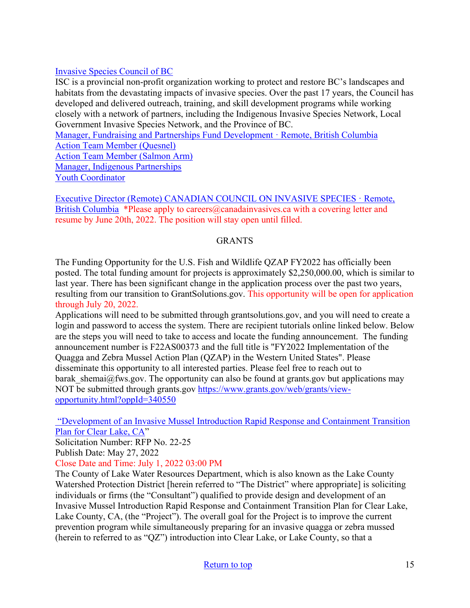### [Invasive Species Council of BC](https://bcinvasives.bamboohr.com/jobs/)

ISC is a provincial non-profit organization working to protect and restore BC's landscapes and habitats from the devastating impacts of invasive species. Over the past 17 years, the Council has developed and delivered outreach, training, and skill development programs while working closely with a network of partners, including the Indigenous Invasive Species Network, Local Government Invasive Species Network, and the Province of BC.

[Manager, Fundraising and Partnerships Fund Development · Remote, British Columbia](https://bcinvasives.bamboohr.com/jobs/view.php?id=138) [Action Team Member \(Quesnel\)](https://bcinvasives.bamboohr.com/jobs/view.php?id=126&source=bamboohr) [Action Team Member \(Salmon Arm\)](https://bcinvasives.bamboohr.com/jobs/view.php?id=122&source=bamboohr) [Manager, Indigenous Partnerships](https://bcinvasives.bamboohr.com/jobs/view.php?id=142&source=bamboohr) [Youth Coordinator](https://bcinvasives.bamboohr.com/jobs/view.php?id=143&source=bamboohr)

[Executive Director \(Remote\) CANADIAN COUNCIL ON INVASIVE SPECIES · Remote,](https://bcinvasives.bamboohr.com/jobs/view.php?id=146&source=bamboohr)  [British Columbia](https://bcinvasives.bamboohr.com/jobs/view.php?id=146&source=bamboohr) \*Please apply to careers@canadainvasives.ca with a covering letter and resume by June 20th, 2022. The position will stay open until filled.

### GRANTS

The Funding Opportunity for the U.S. Fish and Wildlife QZAP FY2022 has officially been posted. The total funding amount for projects is approximately \$2,250,000.00, which is similar to last year. There has been significant change in the application process over the past two years, resulting from our transition to GrantSolutions.gov. This opportunity will be open for application through July 20, 2022.

Applications will need to be submitted through grantsolutions.gov, and you will need to create a login and password to access the system. There are recipient tutorials online linked below. Below are the steps you will need to take to access and locate the funding announcement. The funding announcement number is F22AS00373 and the full title is "FY2022 Implementation of the Quagga and Zebra Mussel Action Plan (QZAP) in the Western United States". Please disseminate this opportunity to all interested parties. Please feel free to reach out to barak shemai@fws.gov. The opportunity can also be found at grants.gov but applications may NOT be submitted through grants.gov [https://www.grants.gov/web/grants/view](https://www.grants.gov/web/grants/view-opportunity.html?oppId=340550)[opportunity.html?oppId=340550](https://www.grants.gov/web/grants/view-opportunity.html?oppId=340550)

 ["Development of an Invasive Mussel Introduction Rapid Response and Containment Transition](http://www.lakecountyca.gov/Business/WithCounty/RFP/RFP_No_22-25.htm)  [Plan for Clear Lake, CA"](http://www.lakecountyca.gov/Business/WithCounty/RFP/RFP_No_22-25.htm)

Solicitation Number: RFP No. 22-25

Publish Date: May 27, 2022

Close Date and Time: July 1, 2022 03:00 PM

The County of Lake Water Resources Department, which is also known as the Lake County Watershed Protection District [herein referred to "The District" where appropriate] is soliciting individuals or firms (the "Consultant") qualified to provide design and development of an Invasive Mussel Introduction Rapid Response and Containment Transition Plan for Clear Lake, Lake County, CA, (the "Project"). The overall goal for the Project is to improve the current prevention program while simultaneously preparing for an invasive quagga or zebra mussed (herein to referred to as "QZ") introduction into Clear Lake, or Lake County, so that a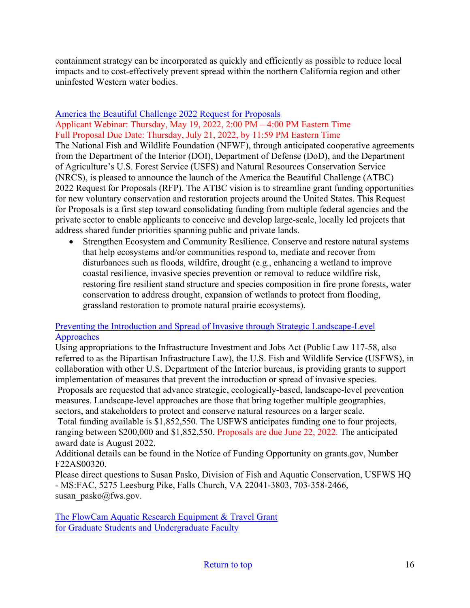containment strategy can be incorporated as quickly and efficiently as possible to reduce local impacts and to cost-effectively prevent spread within the northern California region and other uninfested Western water bodies.

### [America the Beautiful Challenge 2022 Request for Proposals](https://www.nfwf.org/programs/america-beautiful-challenge/america-beautiful-challenge-2022-request-proposals) Applicant Webinar: Thursday, May 19, 2022, 2:00 PM – 4:00 PM Eastern Time Full Proposal Due Date: Thursday, July 21, 2022, by 11:59 PM Eastern Time

The National Fish and Wildlife Foundation (NFWF), through anticipated cooperative agreements from the Department of the Interior (DOI), Department of Defense (DoD), and the Department of Agriculture's U.S. Forest Service (USFS) and Natural Resources Conservation Service (NRCS), is pleased to announce the launch of the America the Beautiful Challenge (ATBC) 2022 Request for Proposals (RFP). The ATBC vision is to streamline grant funding opportunities for new voluntary conservation and restoration projects around the United States. This Request for Proposals is a first step toward consolidating funding from multiple federal agencies and the private sector to enable applicants to conceive and develop large-scale, locally led projects that address shared funder priorities spanning public and private lands.

Strengthen Ecosystem and Community Resilience. Conserve and restore natural systems that help ecosystems and/or communities respond to, mediate and recover from disturbances such as floods, wildfire, drought (e.g., enhancing a wetland to improve coastal resilience, invasive species prevention or removal to reduce wildfire risk, restoring fire resilient stand structure and species composition in fire prone forests, water conservation to address drought, expansion of wetlands to protect from flooding, grassland restoration to promote natural prairie ecosystems).

### [Preventing the Introduction and Spread of Invasive through Strategic Landscape-Level](https://www.grants.gov/web/grants/search-grants.html?keywords=f22as00320)  [Approaches](https://www.grants.gov/web/grants/search-grants.html?keywords=f22as00320)

Using appropriations to the Infrastructure Investment and Jobs Act (Public Law 117-58, also referred to as the Bipartisan Infrastructure Law), the U.S. Fish and Wildlife Service (USFWS), in collaboration with other U.S. Department of the Interior bureaus, is providing grants to support implementation of measures that prevent the introduction or spread of invasive species. Proposals are requested that advance strategic, ecologically-based, landscape-level prevention measures. Landscape-level approaches are those that bring together multiple geographies, sectors, and stakeholders to protect and conserve natural resources on a larger scale.

 Total funding available is \$1,852,550. The USFWS anticipates funding one to four projects, ranging between \$200,000 and \$1,852,550. Proposals are due June 22, 2022. The anticipated award date is August 2022.

Additional details can be found in the Notice of Funding Opportunity on grants.gov, Number F22AS00320.

Please direct questions to Susan Pasko, Division of Fish and Aquatic Conservation, USFWS HQ - MS:FAC, 5275 Leesburg Pike, Falls Church, VA 22041-3803, 703-358-2466, susan\_pasko@fws.gov.

[The FlowCam Aquatic Research Equipment & Travel Grant](https://info.fluidimaging.com/flowcam-student-grant-2022?utm_campaign=FlowCam%20Student%20Grant%20Program%20-%202022&utm_medium=email&_hsmi=201999501&_hsenc=p2ANqtz-8ocExbgopRtkyNWxi0ljPjBorrFvK_wIwUD_KR7epglcNO-AO_DQ4NmoDkrNWY7LVtQd1Pk4pv8bA1I0u-TD5hWn2IAw&utm_content=201914302&utm_source=hs_email) [for Graduate Students and Undergraduate Faculty](https://info.fluidimaging.com/flowcam-student-grant-2022?utm_campaign=FlowCam%20Student%20Grant%20Program%20-%202022&utm_medium=email&_hsmi=201999501&_hsenc=p2ANqtz-8ocExbgopRtkyNWxi0ljPjBorrFvK_wIwUD_KR7epglcNO-AO_DQ4NmoDkrNWY7LVtQd1Pk4pv8bA1I0u-TD5hWn2IAw&utm_content=201914302&utm_source=hs_email)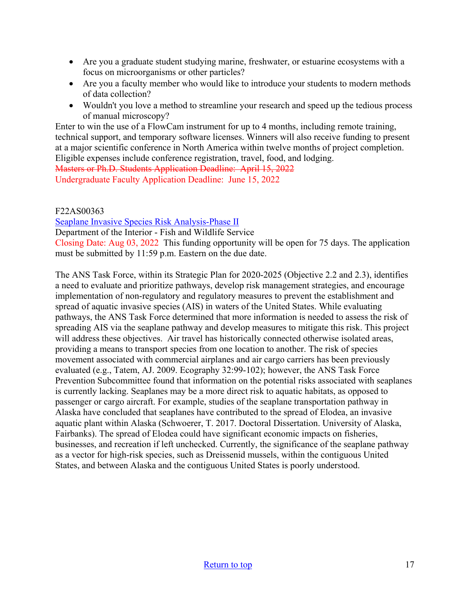- Are you a graduate student studying marine, freshwater, or estuarine ecosystems with a focus on microorganisms or other particles?
- Are you a faculty member who would like to introduce your students to modern methods of data collection?
- Wouldn't you love a method to streamline your research and speed up the tedious process of manual microscopy?

Enter to win the use of a FlowCam instrument for up to 4 months, including remote training, technical support, and temporary software licenses. Winners will also receive funding to present at a major scientific conference in North America within twelve months of project completion. Eligible expenses include conference registration, travel, food, and lodging. Masters or Ph.D. Students Application Deadline: April 15, 2022 Undergraduate Faculty Application Deadline: June 15, 2022

### F22AS00363

[Seaplane Invasive Species Risk Analysis-Phase II](https://www.grants.gov/web/grants/view-opportunity.html?oppId=340531)

Department of the Interior - Fish and Wildlife Service

Closing Date: Aug 03, 2022 This funding opportunity will be open for 75 days. The application must be submitted by 11:59 p.m. Eastern on the due date.

<span id="page-16-0"></span>The ANS Task Force, within its Strategic Plan for 2020-2025 (Objective 2.2 and 2.3), identifies a need to evaluate and prioritize pathways, develop risk management strategies, and encourage implementation of non-regulatory and regulatory measures to prevent the establishment and spread of aquatic invasive species (AIS) in waters of the United States. While evaluating pathways, the ANS Task Force determined that more information is needed to assess the risk of spreading AIS via the seaplane pathway and develop measures to mitigate this risk. This project will address these objectives. Air travel has historically connected otherwise isolated areas, providing a means to transport species from one location to another. The risk of species movement associated with commercial airplanes and air cargo carriers has been previously evaluated (e.g., Tatem, AJ. 2009. Ecography 32:99-102); however, the ANS Task Force Prevention Subcommittee found that information on the potential risks associated with seaplanes is currently lacking. Seaplanes may be a more direct risk to aquatic habitats, as opposed to passenger or cargo aircraft. For example, studies of the seaplane transportation pathway in Alaska have concluded that seaplanes have contributed to the spread of Elodea, an invasive aquatic plant within Alaska (Schwoerer, T. 2017. Doctoral Dissertation. University of Alaska, Fairbanks). The spread of Elodea could have significant economic impacts on fisheries, businesses, and recreation if left unchecked. Currently, the significance of the seaplane pathway as a vector for high-risk species, such as Dreissenid mussels, within the contiguous United States, and between Alaska and the contiguous United States is poorly understood.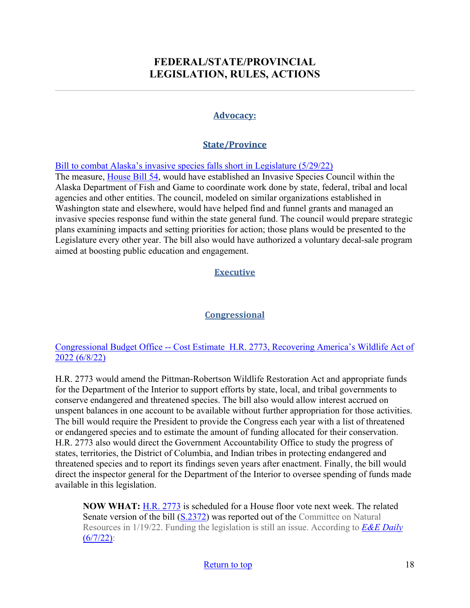# **FEDERAL/STATE/PROVINCIAL LEGISLATION, RULES, ACTIONS**

### **Advocacy:**

## **State/Province**

[Bill to combat Alaska's invasive species falls short in Legislature \(5/29/22\)](https://www.thecordovatimes.com/2022/05/29/bill-to-combat-alaskas-invasive-species-falls-short-in-legislature/)

The measure, *House Bill 54*, would have established an Invasive Species Council within the Alaska Department of Fish and Game to coordinate work done by state, federal, tribal and local agencies and other entities. The council, modeled on similar organizations established in Washington state and elsewhere, would have helped find and funnel grants and managed an invasive species response fund within the state general fund. The council would prepare strategic plans examining impacts and setting priorities for action; those plans would be presented to the Legislature every other year. The bill also would have authorized a voluntary decal-sale program aimed at boosting public education and engagement.

## **Executive**

## **Congressional**

### Congressional Budget Office -- [Cost Estimate H.R. 2773, Recovering America's Wildlife Act of](https://www.cbo.gov/publication/58186)  [2022 \(6/8/22\)](https://www.cbo.gov/publication/58186)

H.R. 2773 would amend the Pittman-Robertson Wildlife Restoration Act and appropriate funds for the Department of the Interior to support efforts by state, local, and tribal governments to conserve endangered and threatened species. The bill also would allow interest accrued on unspent balances in one account to be available without further appropriation for those activities. The bill would require the President to provide the Congress each year with a list of threatened or endangered species and to estimate the amount of funding allocated for their conservation. H.R. 2773 also would direct the Government Accountability Office to study the progress of states, territories, the District of Columbia, and Indian tribes in protecting endangered and threatened species and to report its findings seven years after enactment. Finally, the bill would direct the inspector general for the Department of the Interior to oversee spending of funds made available in this legislation.

**NOW WHAT:** [H.R. 2773](https://www.congress.gov/bill/117th-congress/house-bill/2773) is scheduled for a House floor vote next week. The related Senate version of the bill [\(S.2372\)](https://www.congress.gov/bill/117th-congress/senate-bill/2372) was reported out of the Committee on Natural Resources in 1/19/22. Funding the legislation is still an issue. According to *[E&E Daily](https://subscriber.politicopro.com/article/eenews/2022/06/07/house-poised-to-vote-on-bipartisan-wildlife-bill-00037465)*   $(6/7/22)$ :

### [Return to top](#page-0-0) 18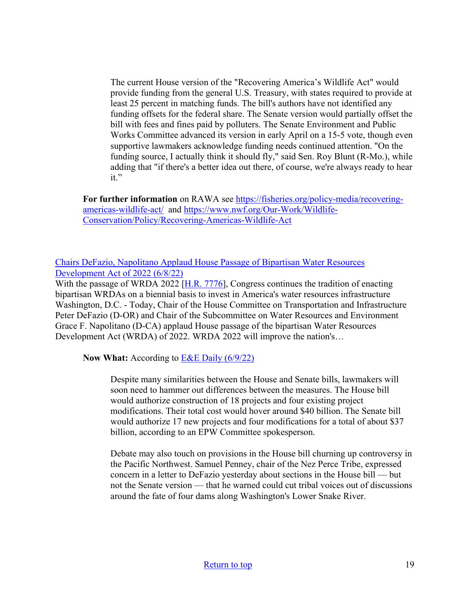The current House version of the "Recovering America's Wildlife Act" would provide funding from the general U.S. Treasury, with states required to provide at least 25 percent in matching funds. The bill's authors have not identified any funding offsets for the federal share. The Senate version would partially offset the bill with fees and fines paid by polluters. The Senate Environment and Public Works Committee advanced its version in early April on a 15-5 vote, though even supportive lawmakers acknowledge funding needs continued attention. "On the funding source, I actually think it should fly," said Sen. Roy Blunt (R-Mo.), while adding that "if there's a better idea out there, of course, we're always ready to hear it."

**For further information** on RAWA see [https://fisheries.org/policy-media/recovering](https://fisheries.org/policy-media/recovering-americas-wildlife-act/)[americas-wildlife-act/](https://fisheries.org/policy-media/recovering-americas-wildlife-act/) and [https://www.nwf.org/Our-Work/Wildlife-](https://www.nwf.org/Our-Work/Wildlife-Conservation/Policy/Recovering-Americas-Wildlife-Act)[Conservation/Policy/Recovering-Americas-Wildlife-Act](https://www.nwf.org/Our-Work/Wildlife-Conservation/Policy/Recovering-Americas-Wildlife-Act) 

### [Chairs DeFazio, Napolitano Applaud House Passage of Bipartisan Water Resources](https://transportation.house.gov/news/press-releases/chairs-defazio-napolitano-applaud-house-passage-of-bipartisan-water-resources-development-act-of-2022)  [Development Act of 2022 \(6/8/22\)](https://transportation.house.gov/news/press-releases/chairs-defazio-napolitano-applaud-house-passage-of-bipartisan-water-resources-development-act-of-2022)

With the passage of WRDA 2022 [\[H.R. 7776\]](https://transportation.house.gov/committee-activity/issue/water-resources-development-act-of-2022), Congress continues the tradition of enacting bipartisan WRDAs on a biennial basis to invest in America's water resources infrastructure Washington, D.C. - Today, Chair of the House Committee on Transportation and Infrastructure Peter DeFazio (D-OR) and Chair of the Subcommittee on Water Resources and Environment Grace F. Napolitano (D-CA) applaud House passage of the bipartisan Water Resources Development Act (WRDA) of 2022. WRDA 2022 will improve the nation's…

**Now What:** According to [E&E Daily \(6/9/22\)](https://subscriber.politicopro.com/article/eenews/2022/06/09/house-oks-water-projects-bill-eyes-talks-with-senate-00038205)

Despite many similarities between the House and Senate bills, lawmakers will soon need to hammer out differences between the measures. The House bill would authorize construction of 18 projects and four existing project modifications. Their total cost would hover around \$40 billion. The Senate bill would authorize 17 new projects and four modifications for a total of about \$37 billion, according to an EPW Committee spokesperson.

Debate may also touch on provisions in the House bill churning up controversy in the Pacific Northwest. Samuel Penney, chair of the Nez Perce Tribe, expressed concern in a letter to DeFazio yesterday about sections in the House bill — but not the Senate version — that he warned could cut tribal voices out of discussions around the fate of four dams along Washington's Lower Snake River.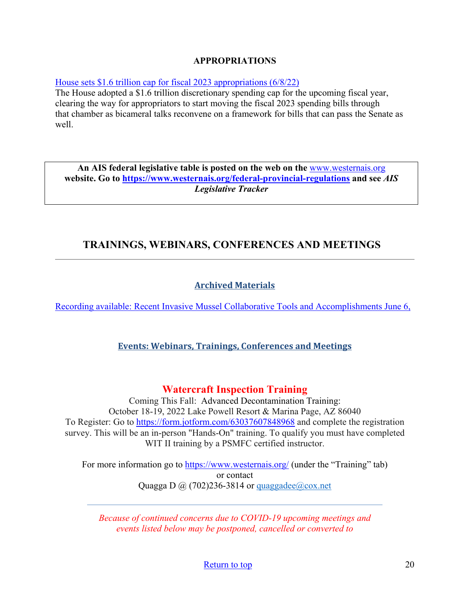### **APPROPRIATIONS**

[House sets \\$1.6 trillion cap for fiscal 2023 appropriations \(6/8/22\)](https://rollcall.com/2022/06/08/house-sets-1-6-trillion-cap-for-fiscal-2023-appropriations/)

The House adopted a \$1.6 trillion discretionary spending cap for the upcoming fiscal year, clearing the way for appropriators to start moving the fiscal 2023 spending bills through that chamber as bicameral talks reconvene on a framework for bills that can pass the Senate as well.

**An AIS federal legislative table is posted on the web on the** [www.westernais.org](http://www.westernais.org/) **website. Go to<https://www.westernais.org/federal-provincial-regulations> and see** *AIS Legislative Tracker*

# <span id="page-19-0"></span>**TRAININGS, WEBINARS, CONFERENCES AND MEETINGS**

## **Archived Materials**

[Recording available: Recent Invasive Mussel Collaborative Tools and Accomplishments June 6,](https://invasivemusselcollaborative.net/event/webinar-recent-imc-tools-and-accomplishments/?utm_source=IMC+Webinars&utm_campaign=13453bdda4-Invasive_Mussel_Collaborative_Webinar_1_19_2018_CO&utm_medium=email&utm_term=0_74dcc4f2ea-13453bdda4-128742353)

## **Events: Webinars, Trainings, Conferences and Meetings**

## **Watercraft Inspection Training**

Coming This Fall: Advanced Decontamination Training: October 18-19, 2022 Lake Powell Resort & Marina Page, AZ 86040 To Register: Go to<https://form.jotform.com/63037607848968>and complete the registration survey. This will be an in-person "Hands-On" training. To qualify you must have completed WIT II training by a PSMFC certified instructor.

For more information go to<https://www.westernais.org/> (under the "Training" tab) or contact Quagga D  $\omega$  (702)236-3814 or quaggadee $\omega$ cox.net

*Because of continued concerns due to COVID-19 upcoming meetings and events listed below may be postponed, cancelled or converted to* 

[Return to top](#page-0-0) 20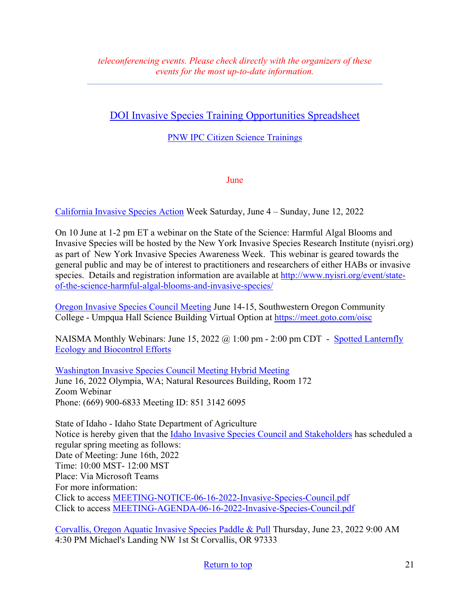# [DOI Invasive Species Training Opportunities Spreadsheet](https://www.doi.gov/sites/doi.gov/files/doi-invasive-species-training-opportunities.pdf)

[PNW IPC Citizen Science Trainings](https://www.pnw-ipc.org/trainings)

June

[California Invasive Species Action](https://wildlife.ca.gov/Conservation/Invasives/Action-Week?utm_medium=email&utm_source=govdelivery) Week Saturday, June 4 – Sunday, June 12, 2022

On 10 June at 1-2 pm ET a webinar on the State of the Science: Harmful Algal Blooms and Invasive Species will be hosted by the New York Invasive Species Research Institute (nyisri.org) as part of New York Invasive Species Awareness Week. This webinar is geared towards the general public and may be of interest to practitioners and researchers of either HABs or invasive species. Details and registration information are available at [http://www.nyisri.org/event/state](http://www.nyisri.org/event/state-of-the-science-harmful-algal-blooms-and-invasive-species/)[of-the-science-harmful-algal-blooms-and-invasive-species/](http://www.nyisri.org/event/state-of-the-science-harmful-algal-blooms-and-invasive-species/)

[Oregon Invasive Species Council Meeting](https://www.oregoninvasivespeciescouncil.org/meetings) June 14-15, Southwestern Oregon Community College - Umpqua Hall Science Building Virtual Option at<https://meet.goto.com/oisc>

NAISMA Monthly Webinars: June 15, 2022  $\omega$  1:00 pm - 2:00 pm CDT - Spotted Lanternfly [Ecology and Biocontrol Efforts](https://naisma.org/event/webinar-spotted-lanternfly-ecology-and-biocontrol-efforts/?utm_medium=email&utm_source=govdelivery)

[Washington Invasive Species Council Meeting Hybrid Meeting](https://invasivespecies.wa.gov/council/meetings/)  June 16, 2022 Olympia, WA; Natural Resources Building, Room 172 Zoom Webinar Phone: (669) 900-6833 Meeting ID: 851 3142 6095

State of Idaho - Idaho State Department of Agriculture Notice is hereby given that the [Idaho Invasive Species Council and Stakeholders](https://agri.idaho.gov/main/meeting-notice-for-idaho-invasive-species-council-and-stakeholders/) has scheduled a regular spring meeting as follows: Date of Meeting: June 16th, 2022 Time: 10:00 MST- 12:00 MST Place: Via Microsoft Teams For more information: Click to access [MEETING-NOTICE-06-16-2022-Invasive-Species-Council.pdf](https://agri.idaho.gov/main/wp-content/uploads/2022/06/MEETING-NOTICE-06-16-2022-Invasive-Species-Council.pdf) Click to access [MEETING-AGENDA-06-16-2022-Invasive-Species-Council.pdf](https://agri.idaho.gov/main/wp-content/uploads/2022/06/MEETING-AGENDA-06-16-2022-Invasive-Species-Council.pdf)

[Corvallis, Oregon Aquatic Invasive Species Paddle & Pull](http://willamette-riverkeeper.org/event-list/2022/6/23/corvallis-aquatic-invasive-species-paddle-amp-pull) Thursday, June 23, 2022 9:00 AM 4:30 PM Michael's Landing NW 1st St Corvallis, OR 97333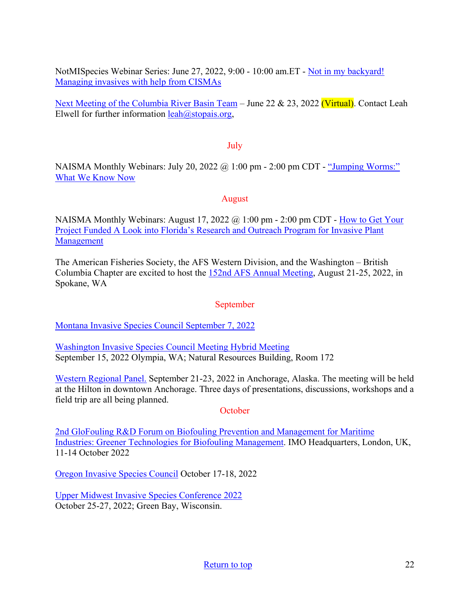NotMISpecies Webinar Series: June 27, 2022, 9:00 - 10:00 am.ET - [Not in my backyard!](https://register.gotowebinar.com/register/3901209515292444430?utm_medium=email&utm_source=govdelivery)  [Managing invasives with help from CISMAs](https://register.gotowebinar.com/register/3901209515292444430?utm_medium=email&utm_source=govdelivery) 

[Next Meeting of the Columbia River Basin Team](https://www.westernais.org/coordination) – June 22 & 23, 2022 (Virtual). Contact Leah Elwell for further information  $leah(\omega)$ stopais.org,

### July

NAISMA Monthly Webinars: July 20, 2022  $\omega$  1:00 pm - 2:00 pm CDT - "Jumping Worms:" [What We Know Now](https://naisma.org/event/webinar-jumping-worms-what-we-know-now/?utm_medium=email&utm_source=govdelivery)

### August

NAISMA Monthly Webinars: August 17, 2022 @ 1:00 pm - 2:00 pm CDT - [How to Get Your](https://naisma.org/event/webinar-w-samantha-yuan/?utm_medium=email&utm_source=govdelivery)  [Project Funded A Look into Florida's Research and Outreach Program for Invasive Plant](https://naisma.org/event/webinar-w-samantha-yuan/?utm_medium=email&utm_source=govdelivery)  [Management](https://naisma.org/event/webinar-w-samantha-yuan/?utm_medium=email&utm_source=govdelivery)

The American Fisheries Society, the AFS Western Division, and the Washington – British Columbia Chapter are excited to host the [152nd AFS Annual Meeting,](https://afsannualmeeting.fisheries.org/?utm_medium=email&utm_source=govdelivery#:%7E:text=The%20American%20Fisheries%20Society%2C%20President,city%20in%20Washington%20State%2C%20Spokane.) August 21-25, 2022, in Spokane, WA

## September

[Montana Invasive Species Council September 7, 2022](https://invasivespecies.mt.gov/misc/meetings-schedule/)

[Washington Invasive Species Council Meeting Hybrid Meeting](https://invasivespecies.wa.gov/council/meetings/)  September 15, 2022 Olympia, WA; Natural Resources Building, Room 172

[Western Regional Panel.](https://westernregionalpanel.org/2022-annual-meeting/) September 21-23, 2022 in Anchorage, Alaska. The meeting will be held at the Hilton in downtown Anchorage. Three days of presentations, discussions, workshops and a field trip are all being planned.

### **October**

[2nd GloFouling R&D Forum on Biofouling Prevention and Management for Maritime](https://www.glofouling.imo.org/)  [Industries: Greener Technologies for Biofouling Management.](https://www.glofouling.imo.org/) IMO Headquarters, London, UK, 11-14 October 2022

[Oregon Invasive Species Council](https://www.oregoninvasivespeciescouncil.org/meetings) October 17-18, 2022

[Upper Midwest Invasive Species Conference 2022](http://www.umisc.net/?utm_medium=email&utm_source=govdelivery)  October 25-27, 2022; Green Bay, Wisconsin.